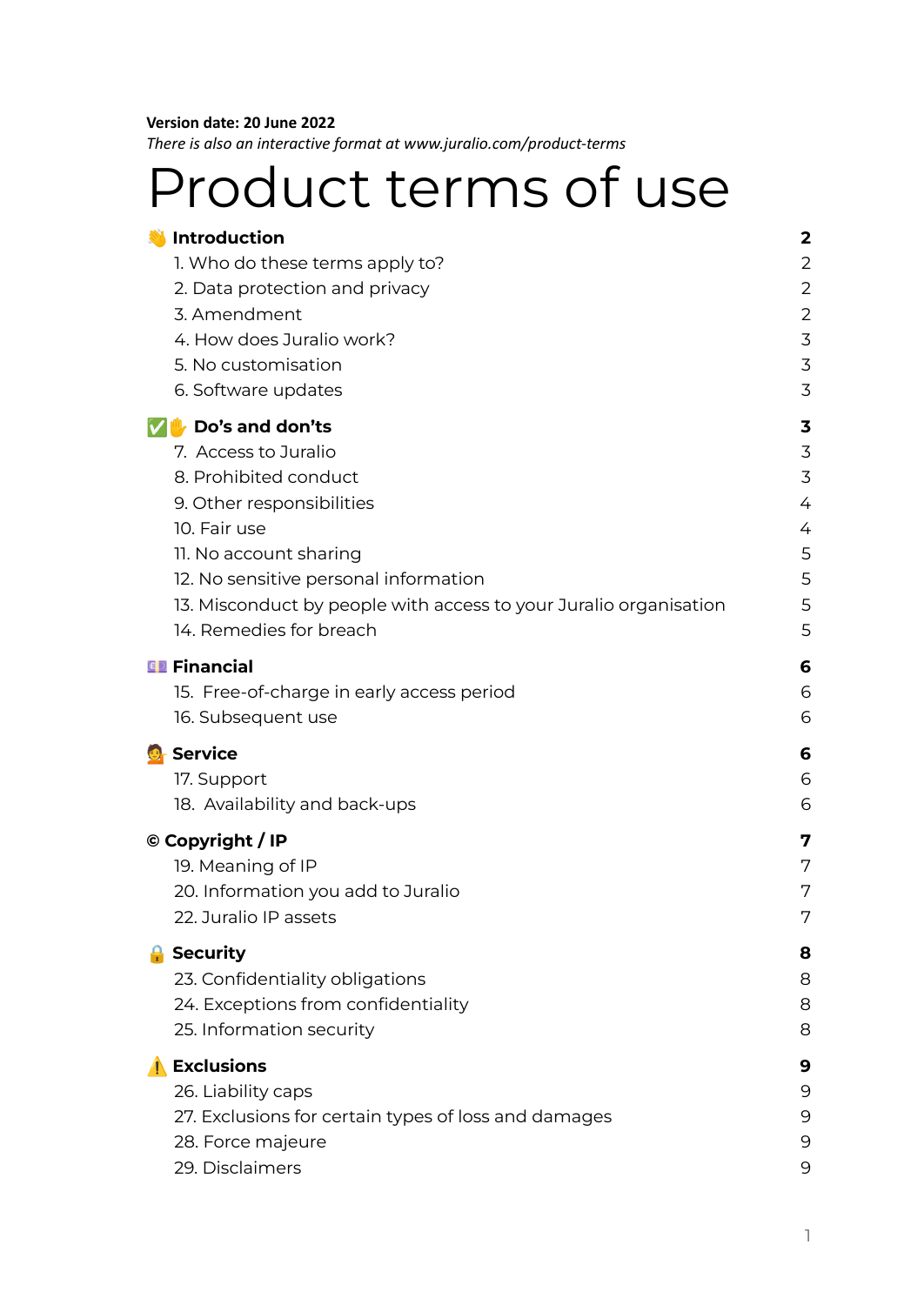#### **Version date: 20 June 2022**

*There is also an interactive format at www.juralio.com/product-terms*

# Product terms of use

|                                                                   | 2                                                                                                                                                                                                                                                                                                                                                                                                                 |
|-------------------------------------------------------------------|-------------------------------------------------------------------------------------------------------------------------------------------------------------------------------------------------------------------------------------------------------------------------------------------------------------------------------------------------------------------------------------------------------------------|
| 1. Who do these terms apply to?                                   | 2                                                                                                                                                                                                                                                                                                                                                                                                                 |
| 2. Data protection and privacy                                    | $\overline{2}$                                                                                                                                                                                                                                                                                                                                                                                                    |
| 3. Amendment                                                      | 2                                                                                                                                                                                                                                                                                                                                                                                                                 |
| 4. How does Juralio work?                                         | 3                                                                                                                                                                                                                                                                                                                                                                                                                 |
| 5. No customisation                                               | 3                                                                                                                                                                                                                                                                                                                                                                                                                 |
| 6. Software updates                                               | 3                                                                                                                                                                                                                                                                                                                                                                                                                 |
|                                                                   | 3                                                                                                                                                                                                                                                                                                                                                                                                                 |
| 7. Access to Juralio                                              | 3                                                                                                                                                                                                                                                                                                                                                                                                                 |
| 8. Prohibited conduct                                             | 3                                                                                                                                                                                                                                                                                                                                                                                                                 |
| 9. Other responsibilities                                         | 4                                                                                                                                                                                                                                                                                                                                                                                                                 |
| 10. Fair use                                                      | 4                                                                                                                                                                                                                                                                                                                                                                                                                 |
| 11. No account sharing                                            | 5                                                                                                                                                                                                                                                                                                                                                                                                                 |
| 12. No sensitive personal information                             | 5                                                                                                                                                                                                                                                                                                                                                                                                                 |
| 13. Misconduct by people with access to your Juralio organisation | 5                                                                                                                                                                                                                                                                                                                                                                                                                 |
| 14. Remedies for breach                                           | 5                                                                                                                                                                                                                                                                                                                                                                                                                 |
|                                                                   | 6                                                                                                                                                                                                                                                                                                                                                                                                                 |
|                                                                   | 6                                                                                                                                                                                                                                                                                                                                                                                                                 |
|                                                                   | 6                                                                                                                                                                                                                                                                                                                                                                                                                 |
|                                                                   | 6                                                                                                                                                                                                                                                                                                                                                                                                                 |
|                                                                   | 6                                                                                                                                                                                                                                                                                                                                                                                                                 |
|                                                                   | 6                                                                                                                                                                                                                                                                                                                                                                                                                 |
|                                                                   |                                                                                                                                                                                                                                                                                                                                                                                                                   |
|                                                                   | 7                                                                                                                                                                                                                                                                                                                                                                                                                 |
|                                                                   | 7                                                                                                                                                                                                                                                                                                                                                                                                                 |
|                                                                   | 7                                                                                                                                                                                                                                                                                                                                                                                                                 |
|                                                                   | 7                                                                                                                                                                                                                                                                                                                                                                                                                 |
| <b>Security</b>                                                   | 8                                                                                                                                                                                                                                                                                                                                                                                                                 |
| 23. Confidentiality obligations                                   | 8                                                                                                                                                                                                                                                                                                                                                                                                                 |
| 24. Exceptions from confidentiality                               | 8                                                                                                                                                                                                                                                                                                                                                                                                                 |
| 25. Information security                                          | 8                                                                                                                                                                                                                                                                                                                                                                                                                 |
| $\blacksquare$                                                    | 9                                                                                                                                                                                                                                                                                                                                                                                                                 |
|                                                                   | 9                                                                                                                                                                                                                                                                                                                                                                                                                 |
|                                                                   | 9                                                                                                                                                                                                                                                                                                                                                                                                                 |
| 28. Force majeure                                                 | 9                                                                                                                                                                                                                                                                                                                                                                                                                 |
| 29. Disclaimers                                                   | 9                                                                                                                                                                                                                                                                                                                                                                                                                 |
|                                                                   | <b>Introduction</b><br>V Do's and don'ts<br><b>ED</b> Financial<br>15. Free-of-charge in early access period<br>16. Subsequent use<br><b>O</b> Service<br>17. Support<br>18. Availability and back-ups<br>© Copyright / IP<br>19. Meaning of IP<br>20. Information you add to Juralio<br>22. Juralio IP assets<br><b>Exclusions</b><br>26. Liability caps<br>27. Exclusions for certain types of loss and damages |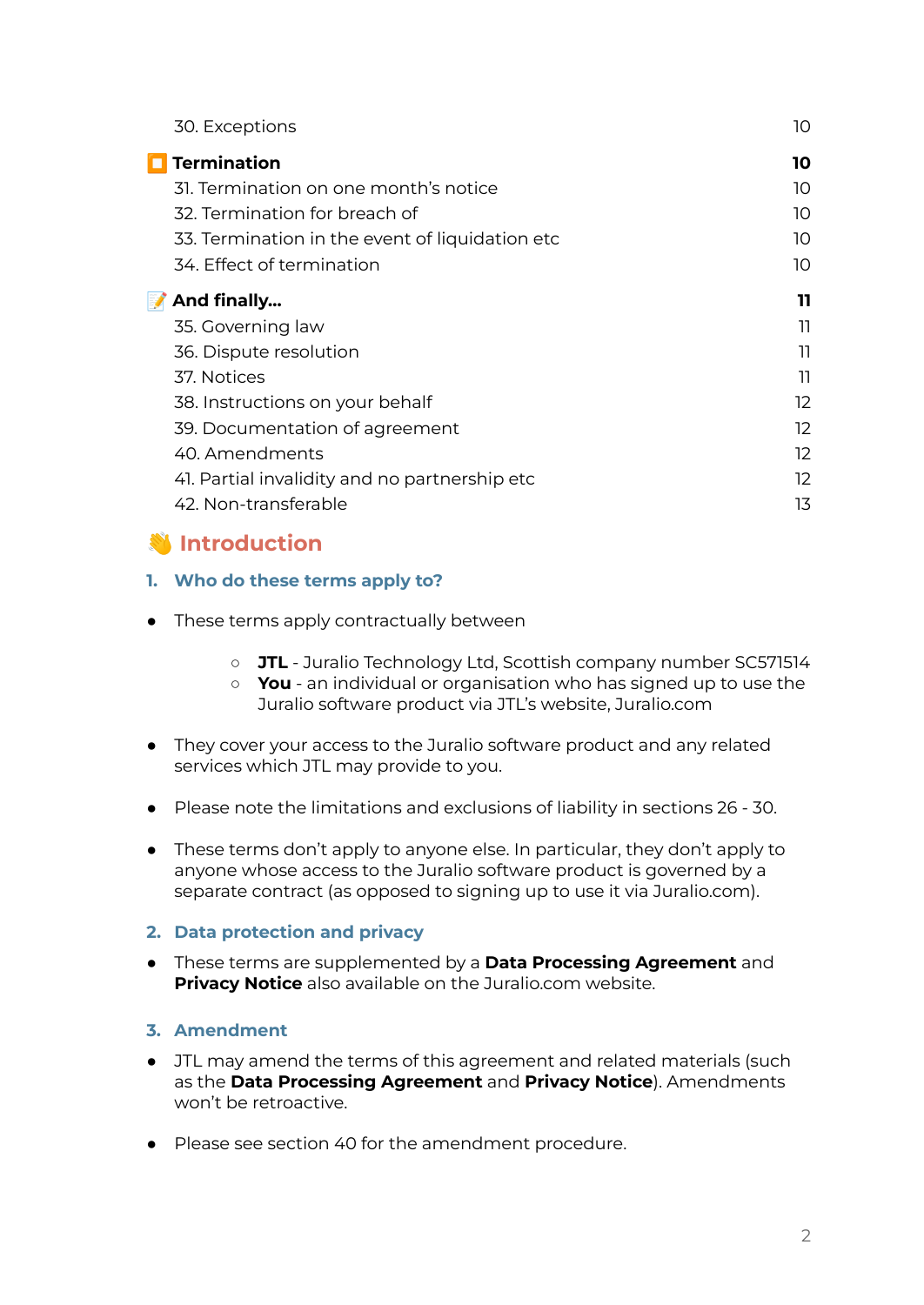| 30. Exceptions                                  | 10 |
|-------------------------------------------------|----|
| $\blacksquare$ Termination                      | 10 |
| 31. Termination on one month's notice           | 10 |
| 32. Termination for breach of                   | 10 |
| 33. Termination in the event of liquidation etc | 10 |
| 34. Effect of termination                       | 10 |
| And finally<br>$\blacksquare$                   | 11 |
| 35. Governing law                               | וו |
| 36. Dispute resolution                          | וו |
| 37. Notices                                     | וו |
| 38. Instructions on your behalf                 | 12 |
| 39. Documentation of agreement                  | 12 |
| 40. Amendments                                  | 12 |
| 4. Partial invalidity and no partnership etc    | 12 |
| 42. Non-transferable                            | 13 |

# <span id="page-1-0"></span>*<u>introduction</u>*

### <span id="page-1-1"></span>**1. Who do these terms apply to?**

- These terms apply contractually between
	- **JTL** Juralio Technology Ltd, Scottish company number SC571514
	- **You** an individual or organisation who has signed up to use the Juralio software product via JTL's website, Juralio.com
- They cover your access to the Juralio software product and any related services which JTL may provide to you.
- Please note the limitations and exclusions of liability in sections 26 30.
- These terms don't apply to anyone else. In particular, they don't apply to anyone whose access to the Juralio software product is governed by a separate contract (as opposed to signing up to use it via Juralio.com).

### <span id="page-1-2"></span>**2. Data protection and privacy**

● These terms are supplemented by a **Data Processing Agreement** and **Privacy Notice** also available on the Juralio.com website.

### <span id="page-1-3"></span>**3. Amendment**

- JTL may amend the terms of this agreement and related materials (such as the **Data Processing Agreement** and **Privacy Notice**). Amendments won't be retroactive.
- Please see section 40 for the amendment procedure.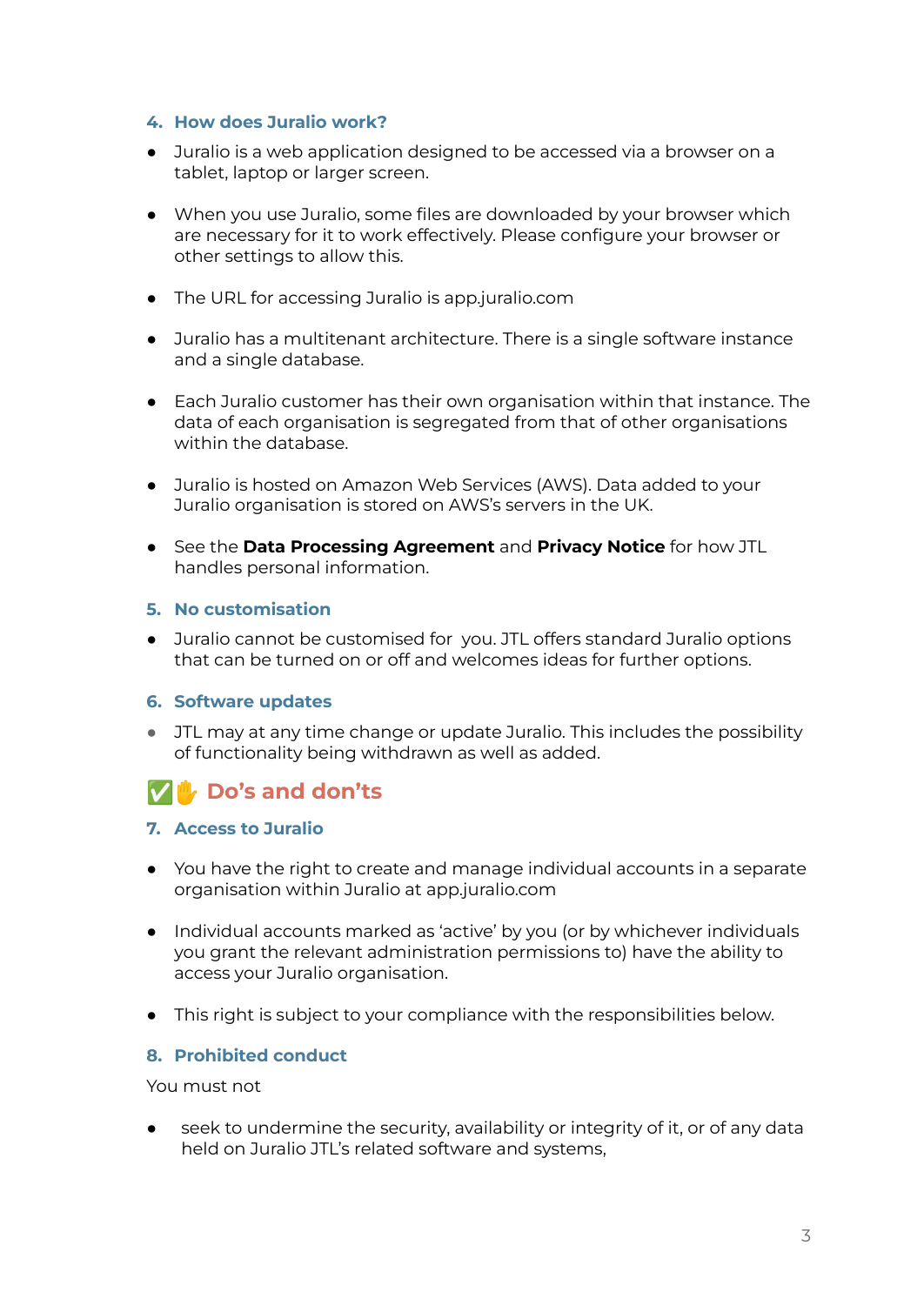### <span id="page-2-0"></span>**4. How does Juralio work?**

- Juralio is a web application designed to be accessed via a browser on a tablet, laptop or larger screen.
- When you use Juralio, some files are downloaded by your browser which are necessary for it to work effectively. Please configure your browser or other settings to allow this.
- The URL for accessing Juralio is app.juralio.com
- Juralio has a multitenant architecture. There is a single software instance and a single database.
- Each Juralio customer has their own organisation within that instance. The data of each organisation is segregated from that of other organisations within the database.
- Juralio is hosted on Amazon Web Services (AWS). Data added to your Juralio organisation is stored on AWS's servers in the UK.
- See the **Data Processing Agreement** and **Privacy Notice** for how JTL handles personal information.

### <span id="page-2-1"></span>**5. No customisation**

● Juralio cannot be customised for you. JTL offers standard Juralio options that can be turned on or off and welcomes ideas for further options.

#### <span id="page-2-2"></span>**6. Software updates**

● JTL may at any time change or update Juralio. This includes the possibility of functionality being withdrawn as well as added.

# <span id="page-2-3"></span>✅✋ **Do's and don'ts**

### <span id="page-2-4"></span>**7. Access to Juralio**

- You have the right to create and manage individual accounts in a separate organisation within Juralio at app.juralio.com
- Individual accounts marked as 'active' by you (or by whichever individuals you grant the relevant administration permissions to) have the ability to access your Juralio organisation.
- This right is subject to your compliance with the responsibilities below.

#### <span id="page-2-5"></span>**8. Prohibited conduct**

You must not

seek to undermine the security, availability or integrity of it, or of any data held on Juralio JTL's related software and systems,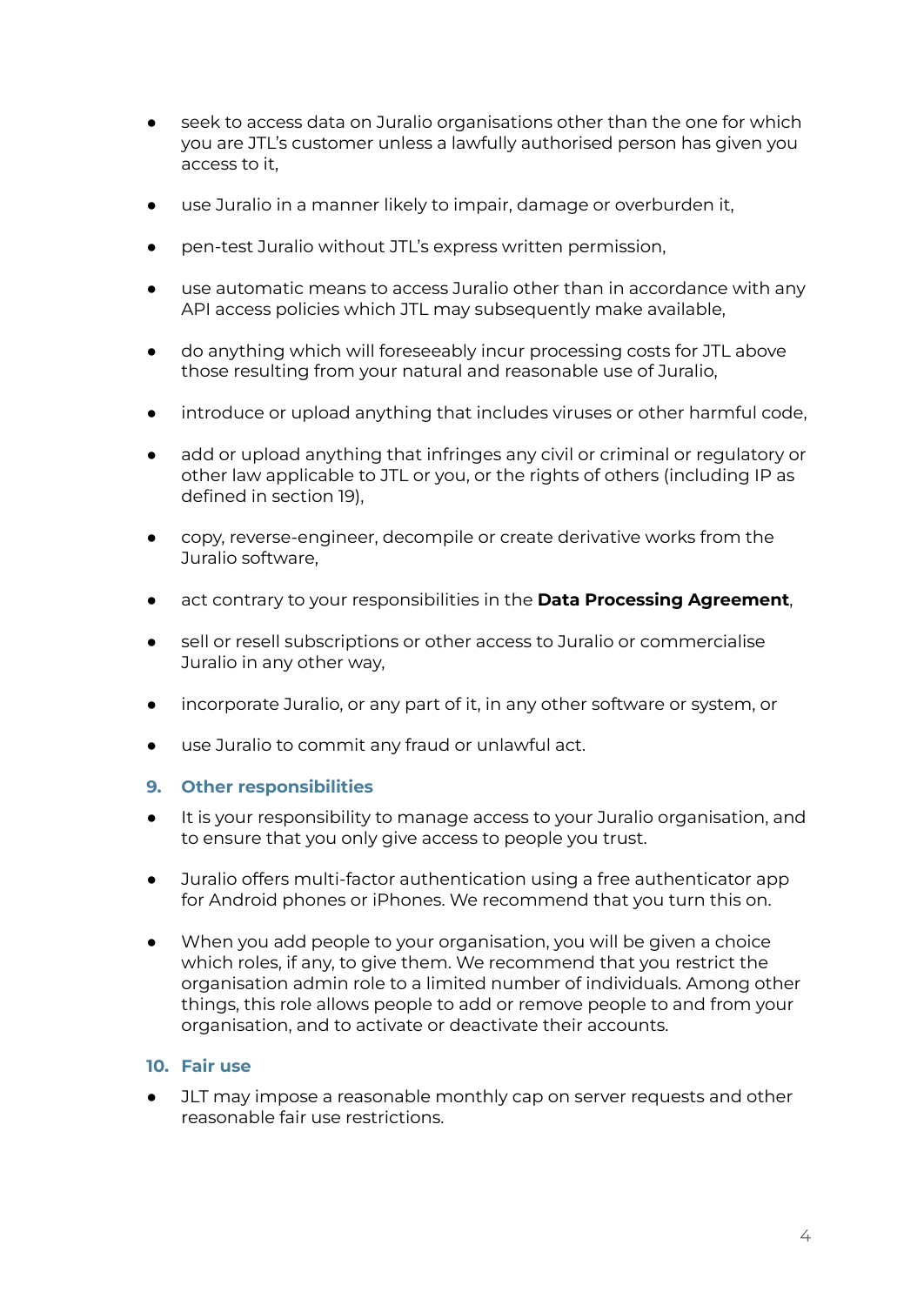- seek to access data on Juralio organisations other than the one for which you are JTL's customer unless a lawfully authorised person has given you access to it,
- use Juralio in a manner likely to impair, damage or overburden it,
- pen-test Juralio without JTL's express written permission,
- use automatic means to access Juralio other than in accordance with any API access policies which JTL may subsequently make available,
- do anything which will foreseeably incur processing costs for JTL above those resulting from your natural and reasonable use of Juralio,
- introduce or upload anything that includes viruses or other harmful code,
- add or upload anything that infringes any civil or criminal or regulatory or other law applicable to JTL or you, or the rights of others (including IP as defined in section 19),
- copy, reverse-engineer, decompile or create derivative works from the Juralio software,
- act contrary to your responsibilities in the **Data Processing Agreement**,
- sell or resell subscriptions or other access to Juralio or commercialise Juralio in any other way,
- incorporate Juralio, or any part of it, in any other software or system, or
- use Juralio to commit any fraud or unlawful act.

### <span id="page-3-0"></span>**9. Other responsibilities**

- It is your responsibility to manage access to your Juralio organisation, and to ensure that you only give access to people you trust.
- Juralio offers multi-factor authentication using a free authenticator app for Android phones or iPhones. We recommend that you turn this on.
- When you add people to your organisation, you will be given a choice which roles, if any, to give them. We recommend that you restrict the organisation admin role to a limited number of individuals. Among other things, this role allows people to add or remove people to and from your organisation, and to activate or deactivate their accounts.

### <span id="page-3-1"></span>**10. Fair use**

JLT may impose a reasonable monthly cap on server requests and other reasonable fair use restrictions.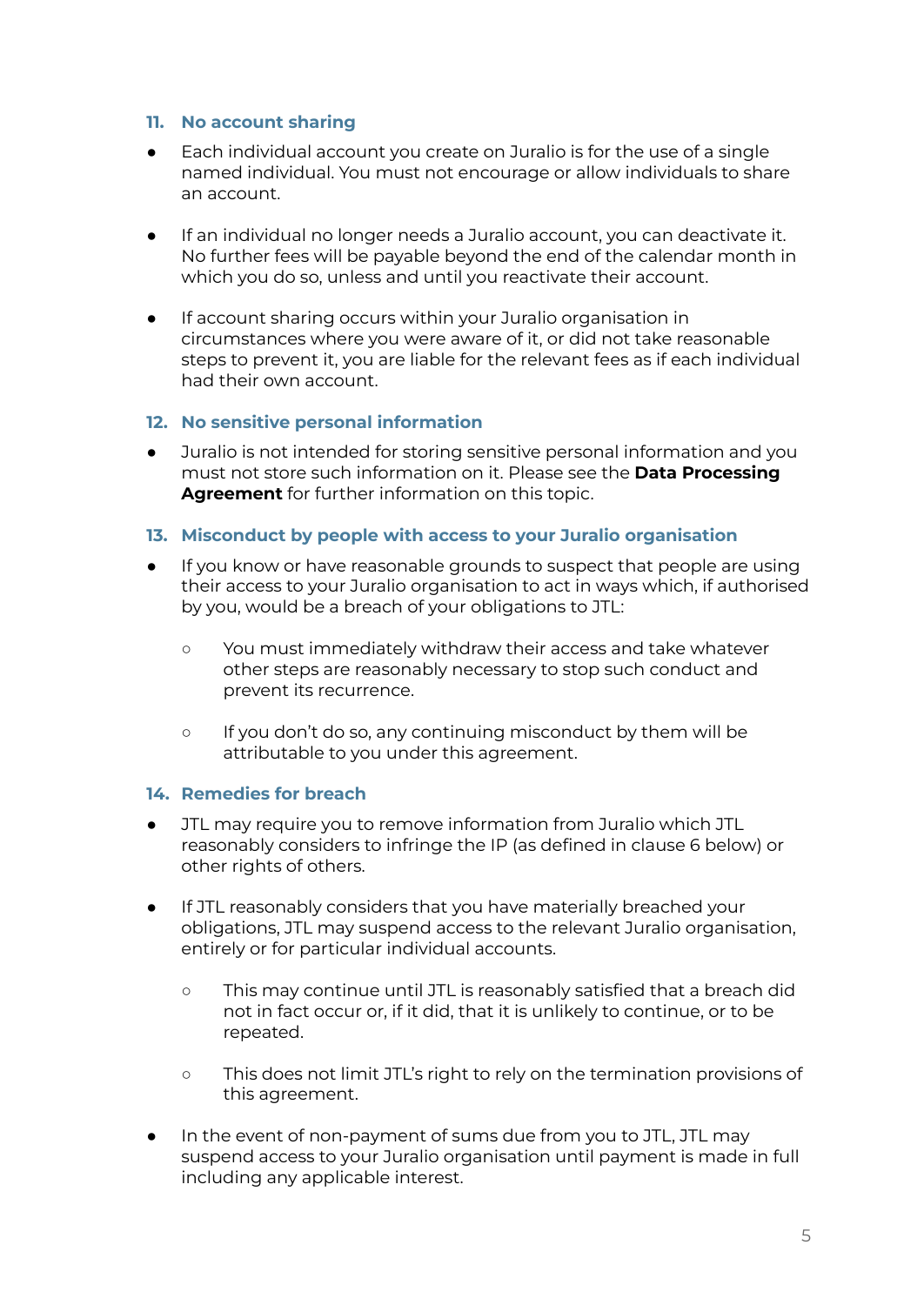### <span id="page-4-0"></span>**11. No account sharing**

- Each individual account you create on Juralio is for the use of a single named individual. You must not encourage or allow individuals to share an account.
- If an individual no longer needs a Juralio account, you can deactivate it. No further fees will be payable beyond the end of the calendar month in which you do so, unless and until you reactivate their account.
- If account sharing occurs within your Juralio organisation in circumstances where you were aware of it, or did not take reasonable steps to prevent it, you are liable for the relevant fees as if each individual had their own account.

### <span id="page-4-1"></span>**12. No sensitive personal information**

● Juralio is not intended for storing sensitive personal information and you must not store such information on it. Please see the **Data Processing Agreement** for further information on this topic.

### <span id="page-4-2"></span>**13. Misconduct by people with access to your Juralio organisation**

- If you know or have reasonable grounds to suspect that people are using their access to your Juralio organisation to act in ways which, if authorised by you, would be a breach of your obligations to JTL:
	- You must immediately withdraw their access and take whatever other steps are reasonably necessary to stop such conduct and prevent its recurrence.
	- If you don't do so, any continuing misconduct by them will be attributable to you under this agreement.

### <span id="page-4-3"></span>**14. Remedies for breach**

- JTL may require you to remove information from Juralio which JTL reasonably considers to infringe the IP (as defined in clause 6 below) or other rights of others.
- If JTL reasonably considers that you have materially breached your obligations, JTL may suspend access to the relevant Juralio organisation, entirely or for particular individual accounts.
	- This may continue until JTL is reasonably satisfied that a breach did not in fact occur or, if it did, that it is unlikely to continue, or to be repeated.
	- This does not limit JTL's right to rely on the termination provisions of this agreement.
- In the event of non-payment of sums due from you to JTL, JTL may suspend access to your Juralio organisation until payment is made in full including any applicable interest.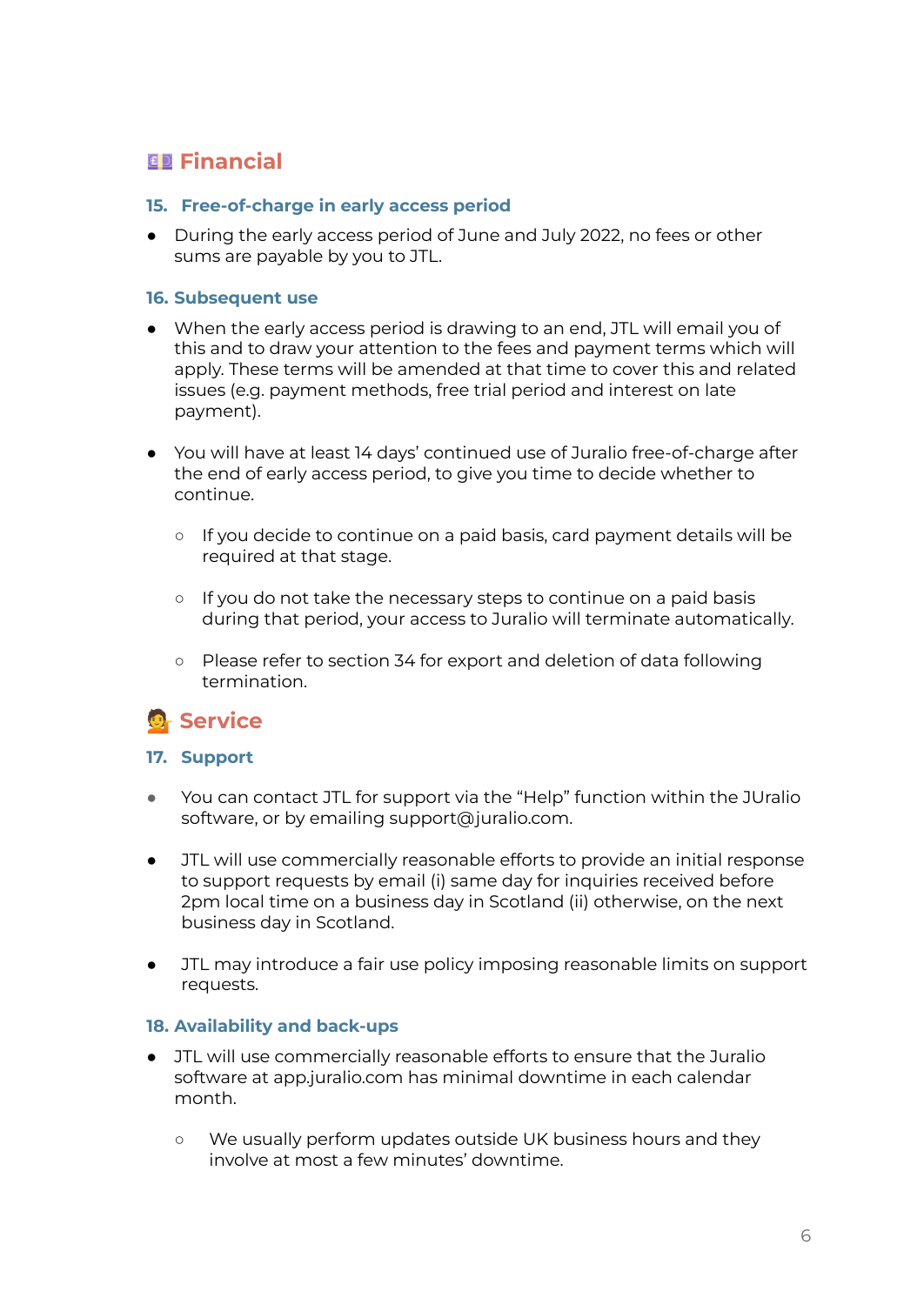# <span id="page-5-0"></span>**Financial**

### <span id="page-5-1"></span>**15. Free-of-charge in early access period**

● During the early access period of June and July 2022, no fees or other sums are payable by you to JTL.

#### <span id="page-5-2"></span>**16. Subsequent use**

- When the early access period is drawing to an end, JTL will email you of this and to draw your attention to the fees and payment terms which will apply. These terms will be amended at that time to cover this and related issues (e.g. payment methods, free trial period and interest on late payment).
- You will have at least 14 days' continued use of Juralio free-of-charge after the end of early access period, to give you time to decide whether to continue.
	- If you decide to continue on a paid basis, card payment details will be required at that stage.
	- o If you do not take the necessary steps to continue on a paid basis during that period, your access to Juralio will terminate automatically.
	- Please refer to section 34 for export and deletion of data following termination.

# <span id="page-5-3"></span>**Service**

### <span id="page-5-4"></span>**17. Support**

- You can contact JTL for support via the "Help" function within the JUralio software, or by emailing support@juralio.com.
- JTL will use commercially reasonable efforts to provide an initial response to support requests by email (i) same day for inquiries received before 2pm local time on a business day in Scotland (ii) otherwise, on the next business day in Scotland.
- JTL may introduce a fair use policy imposing reasonable limits on support requests.

### <span id="page-5-5"></span>**18. Availability and back-ups**

- JTL will use commercially reasonable efforts to ensure that the Juralio software at app.juralio.com has minimal downtime in each calendar month.
	- We usually perform updates outside UK business hours and they involve at most a few minutes' downtime.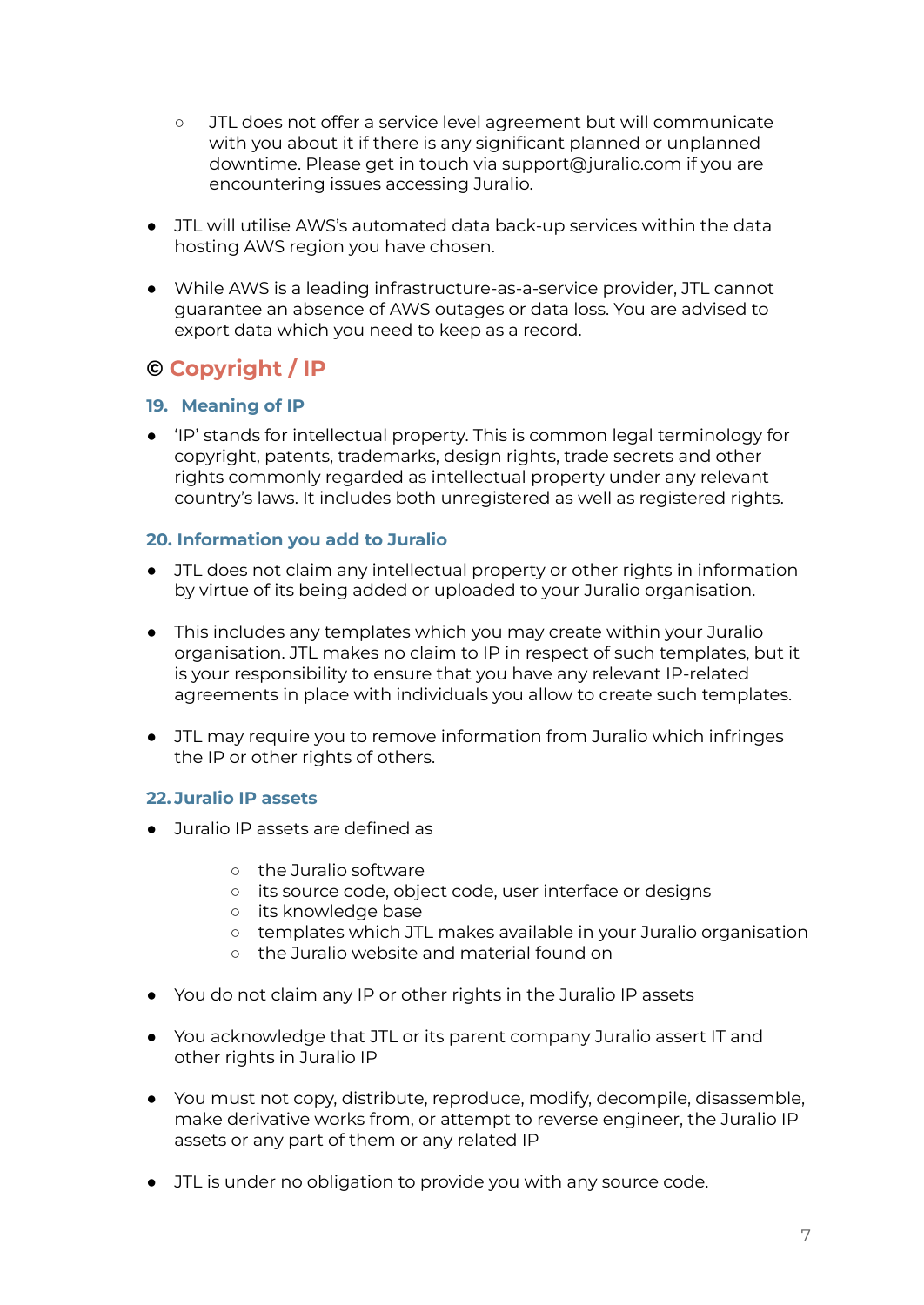- JTL does not offer a service level agreement but will communicate with you about it if there is any significant planned or unplanned downtime. Please get in touch via support@juralio.com if you are encountering issues accessing Juralio.
- JTL will utilise AWS's automated data back-up services within the data hosting AWS region you have chosen.
- While AWS is a leading infrastructure-as-a-service provider, JTL cannot guarantee an absence of AWS outages or data loss. You are advised to export data which you need to keep as a record.

# <span id="page-6-0"></span>**© Copyright / IP**

### <span id="page-6-1"></span>**19. Meaning of IP**

● 'IP' stands for intellectual property. This is common legal terminology for copyright, patents, trademarks, design rights, trade secrets and other rights commonly regarded as intellectual property under any relevant country's laws. It includes both unregistered as well as registered rights.

### <span id="page-6-2"></span>**20. Information you add to Juralio**

- JTL does not claim any intellectual property or other rights in information by virtue of its being added or uploaded to your Juralio organisation.
- This includes any templates which you may create within your Juralio organisation. JTL makes no claim to IP in respect of such templates, but it is your responsibility to ensure that you have any relevant IP-related agreements in place with individuals you allow to create such templates.
- JTL may require you to remove information from Juralio which infringes the IP or other rights of others.

### <span id="page-6-3"></span>**22. Juralio IP assets**

- Juralio IP assets are defined as
	- the Juralio software
	- its source code, object code, user interface or designs
	- its knowledge base
	- templates which JTL makes available in your Juralio organisation
	- the Juralio website and material found on
- You do not claim any IP or other rights in the Juralio IP assets
- You acknowledge that JTL or its parent company Juralio assert IT and other rights in Juralio IP
- You must not copy, distribute, reproduce, modify, decompile, disassemble, make derivative works from, or attempt to reverse engineer, the Juralio IP assets or any part of them or any related IP
- JTL is under no obligation to provide you with any source code.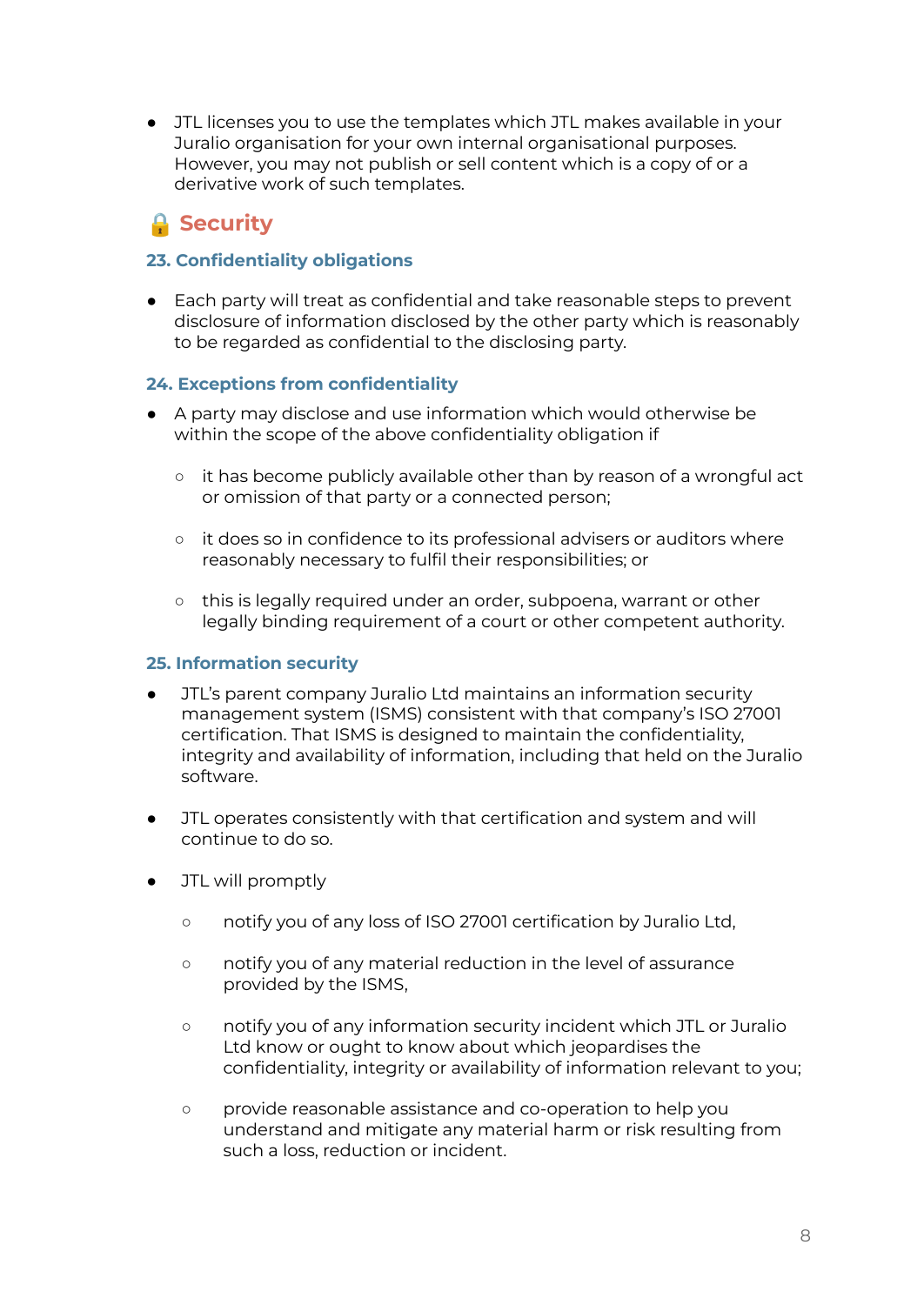● JTL licenses you to use the templates which JTL makes available in your Juralio organisation for your own internal organisational purposes. However, you may not publish or sell content which is a copy of or a derivative work of such templates.

# <span id="page-7-0"></span>**A** Security

## <span id="page-7-1"></span>**23. Confidentiality obligations**

● Each party will treat as confidential and take reasonable steps to prevent disclosure of information disclosed by the other party which is reasonably to be regarded as confidential to the disclosing party.

### <span id="page-7-2"></span>**24. Exceptions from confidentiality**

- A party may disclose and use information which would otherwise be within the scope of the above confidentiality obligation if
	- o it has become publicly available other than by reason of a wrongful act or omission of that party or a connected person;
	- it does so in confidence to its professional advisers or auditors where reasonably necessary to fulfil their responsibilities; or
	- this is legally required under an order, subpoena, warrant or other legally binding requirement of a court or other competent authority.

### <span id="page-7-3"></span>**25. Information security**

- JTL's parent company Juralio Ltd maintains an information security management system (ISMS) consistent with that company's ISO 27001 certification. That ISMS is designed to maintain the confidentiality, integrity and availability of information, including that held on the Juralio software.
- JTL operates consistently with that certification and system and will continue to do so.
- JTL will promptly
	- notify you of any loss of ISO 27001 certification by Juralio Ltd,
	- notify you of any material reduction in the level of assurance provided by the ISMS,
	- notify you of any information security incident which JTL or Juralio Ltd know or ought to know about which jeopardises the confidentiality, integrity or availability of information relevant to you;
	- provide reasonable assistance and co-operation to help you understand and mitigate any material harm or risk resulting from such a loss, reduction or incident.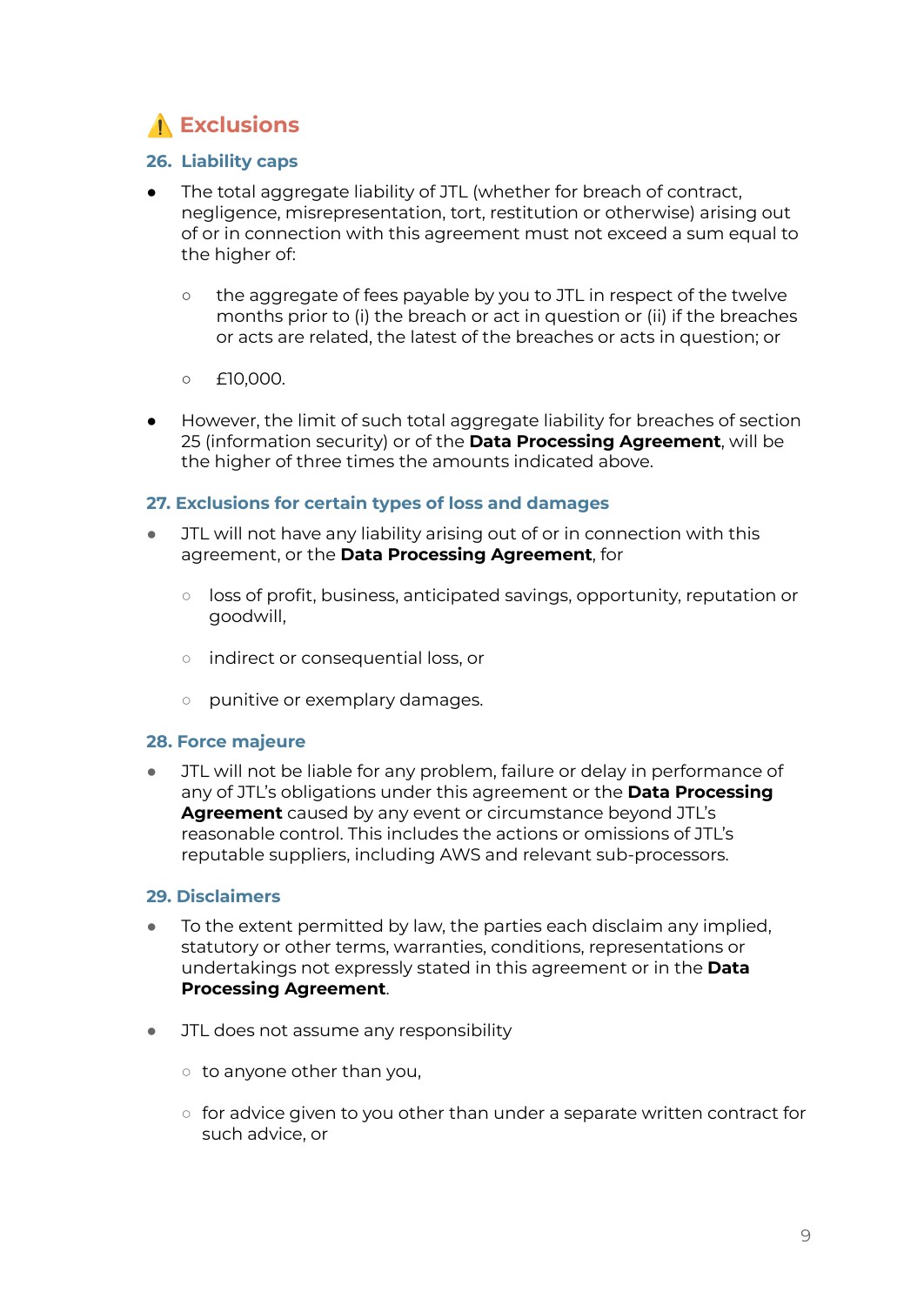# <span id="page-8-0"></span>⚠️ **Exclusions**

### <span id="page-8-1"></span>**26. Liability caps**

- The total aggregate liability of JTL (whether for breach of contract, negligence, misrepresentation, tort, restitution or otherwise) arising out of or in connection with this agreement must not exceed a sum equal to the higher of:
	- o the aggregate of fees payable by you to JTL in respect of the twelve months prior to (i) the breach or act in question or (ii) if the breaches or acts are related, the latest of the breaches or acts in question; or
	- $\circ$  £10,000.
- However, the limit of such total aggregate liability for breaches of section 25 (information security) or of the **Data Processing Agreement**, will be the higher of three times the amounts indicated above.

### <span id="page-8-2"></span>**27. Exclusions for certain types of loss and damages**

- JTL will not have any liability arising out of or in connection with this agreement, or the **Data Processing Agreement**, for
	- loss of profit, business, anticipated savings, opportunity, reputation or goodwill,
	- indirect or consequential loss, or
	- punitive or exemplary damages.

### <span id="page-8-3"></span>**28. Force majeure**

● JTL will not be liable for any problem, failure or delay in performance of any of JTL's obligations under this agreement or the **Data Processing Agreement** caused by any event or circumstance beyond JTL's reasonable control. This includes the actions or omissions of JTL's reputable suppliers, including AWS and relevant sub-processors.

### <span id="page-8-4"></span>**29. Disclaimers**

- To the extent permitted by law, the parties each disclaim any implied, statutory or other terms, warranties, conditions, representations or undertakings not expressly stated in this agreement or in the **Data Processing Agreement**.
- JTL does not assume any responsibility
	- to anyone other than you,
	- $\circ$  for advice given to you other than under a separate written contract for such advice, or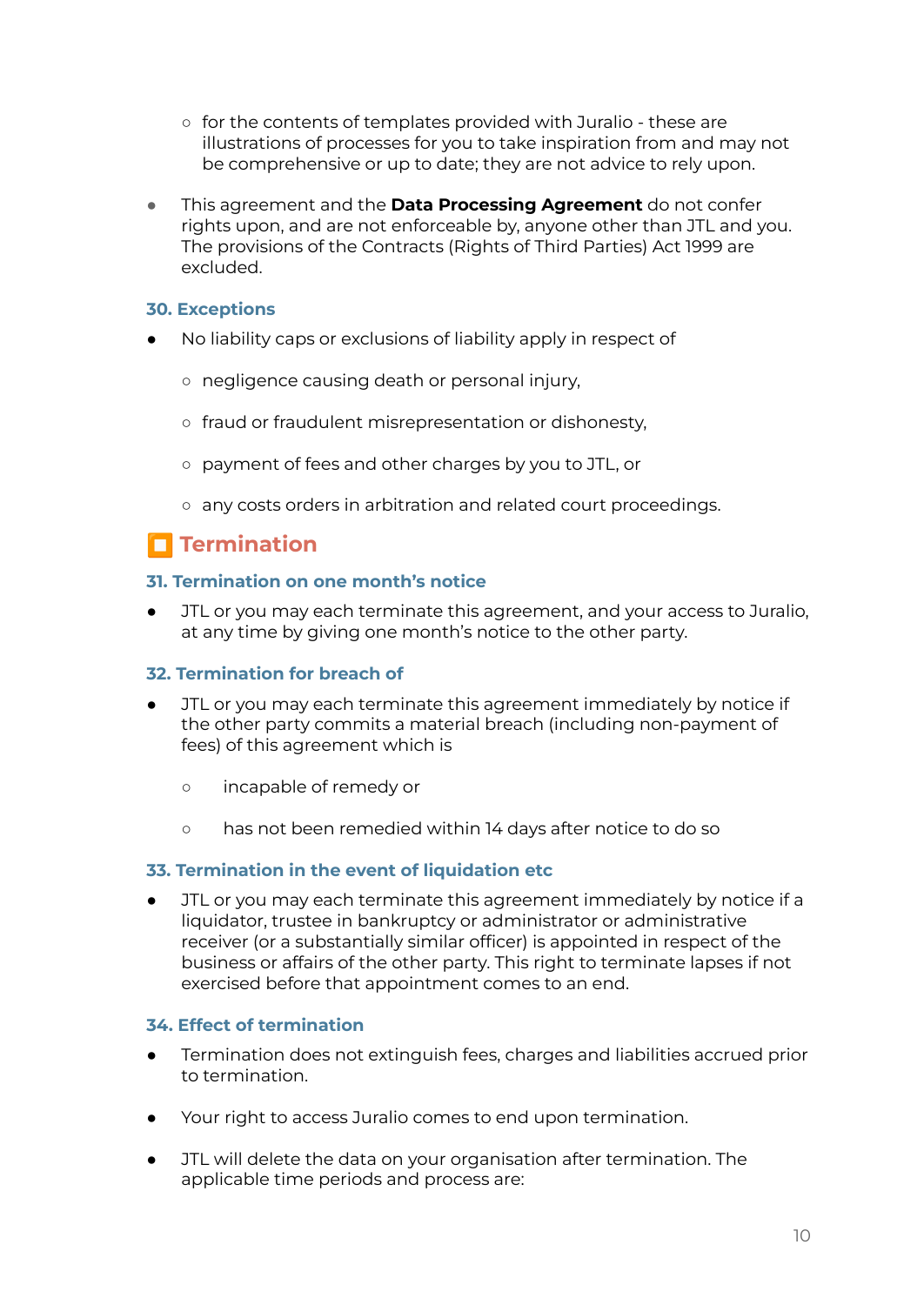- for the contents of templates provided with Juralio these are illustrations of processes for you to take inspiration from and may not be comprehensive or up to date; they are not advice to rely upon.
- This agreement and the **Data Processing Agreement** do not confer rights upon, and are not enforceable by, anyone other than JTL and you. The provisions of the Contracts (Rights of Third Parties) Act 1999 are excluded.

### <span id="page-9-0"></span>**30. Exceptions**

- No liability caps or exclusions of liability apply in respect of
	- negligence causing death or personal injury,
	- fraud or fraudulent misrepresentation or dishonesty,
	- payment of fees and other charges by you to JTL, or
	- any costs orders in arbitration and related court proceedings.

# <span id="page-9-1"></span> $\blacksquare$  Termination

### <span id="page-9-2"></span>**31. Termination on one month's notice**

JTL or you may each terminate this agreement, and your access to Juralio, at any time by giving one month's notice to the other party.

### <span id="page-9-3"></span>**32. Termination for breach of**

- JTL or you may each terminate this agreement immediately by notice if the other party commits a material breach (including non-payment of fees) of this agreement which is
	- incapable of remedy or
	- has not been remedied within 14 days after notice to do so

#### <span id="page-9-4"></span>**33. Termination in the event of liquidation etc**

JTL or you may each terminate this agreement immediately by notice if a liquidator, trustee in bankruptcy or administrator or administrative receiver (or a substantially similar officer) is appointed in respect of the business or affairs of the other party. This right to terminate lapses if not exercised before that appointment comes to an end.

### <span id="page-9-5"></span>**34. Effect of termination**

- Termination does not extinguish fees, charges and liabilities accrued prior to termination.
- Your right to access Juralio comes to end upon termination.
- JTL will delete the data on your organisation after termination. The applicable time periods and process are: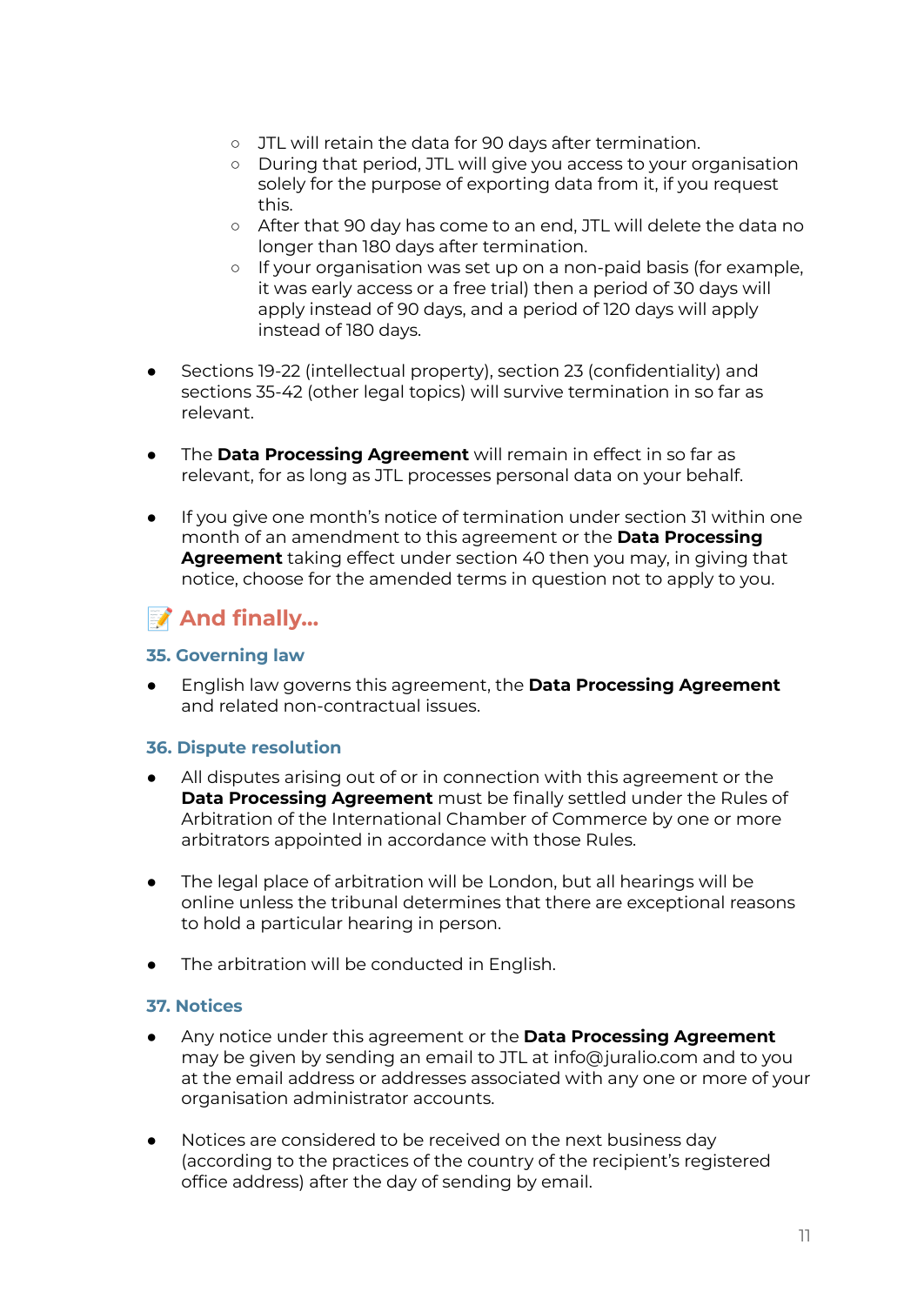- JTL will retain the data for 90 days after termination.
- During that period, JTL will give you access to your organisation solely for the purpose of exporting data from it, if you request this.
- After that 90 day has come to an end, JTL will delete the data no longer than 180 days after termination.
- If your organisation was set up on a non-paid basis (for example, it was early access or a free trial) then a period of 30 days will apply instead of 90 days, and a period of 120 days will apply instead of 180 days.
- Sections 19-22 (intellectual property), section 23 (confidentiality) and sections 35-42 (other legal topics) will survive termination in so far as relevant.
- The **Data Processing Agreement** will remain in effect in so far as relevant, for as long as JTL processes personal data on your behalf.
- If you give one month's notice of termination under section 31 within one month of an amendment to this agreement or the **Data Processing Agreement** taking effect under section 40 then you may, in giving that notice, choose for the amended terms in question not to apply to you.

# <span id="page-10-0"></span>**And finally…**

### <span id="page-10-1"></span>**35. Governing law**

● English law governs this agreement, the **Data Processing Agreement** and related non-contractual issues.

### <span id="page-10-2"></span>**36. Dispute resolution**

- All disputes arising out of or in connection with this agreement or the **Data Processing Agreement** must be finally settled under the Rules of Arbitration of the International Chamber of Commerce by one or more arbitrators appointed in accordance with those Rules.
- The legal place of arbitration will be London, but all hearings will be online unless the tribunal determines that there are exceptional reasons to hold a particular hearing in person.
- The arbitration will be conducted in English.

### <span id="page-10-3"></span>**37. Notices**

- Any notice under this agreement or the **Data Processing Agreement** may be given by sending an email to JTL at info@juralio.com and to you at the email address or addresses associated with any one or more of your organisation administrator accounts.
- Notices are considered to be received on the next business day (according to the practices of the country of the recipient's registered office address) after the day of sending by email.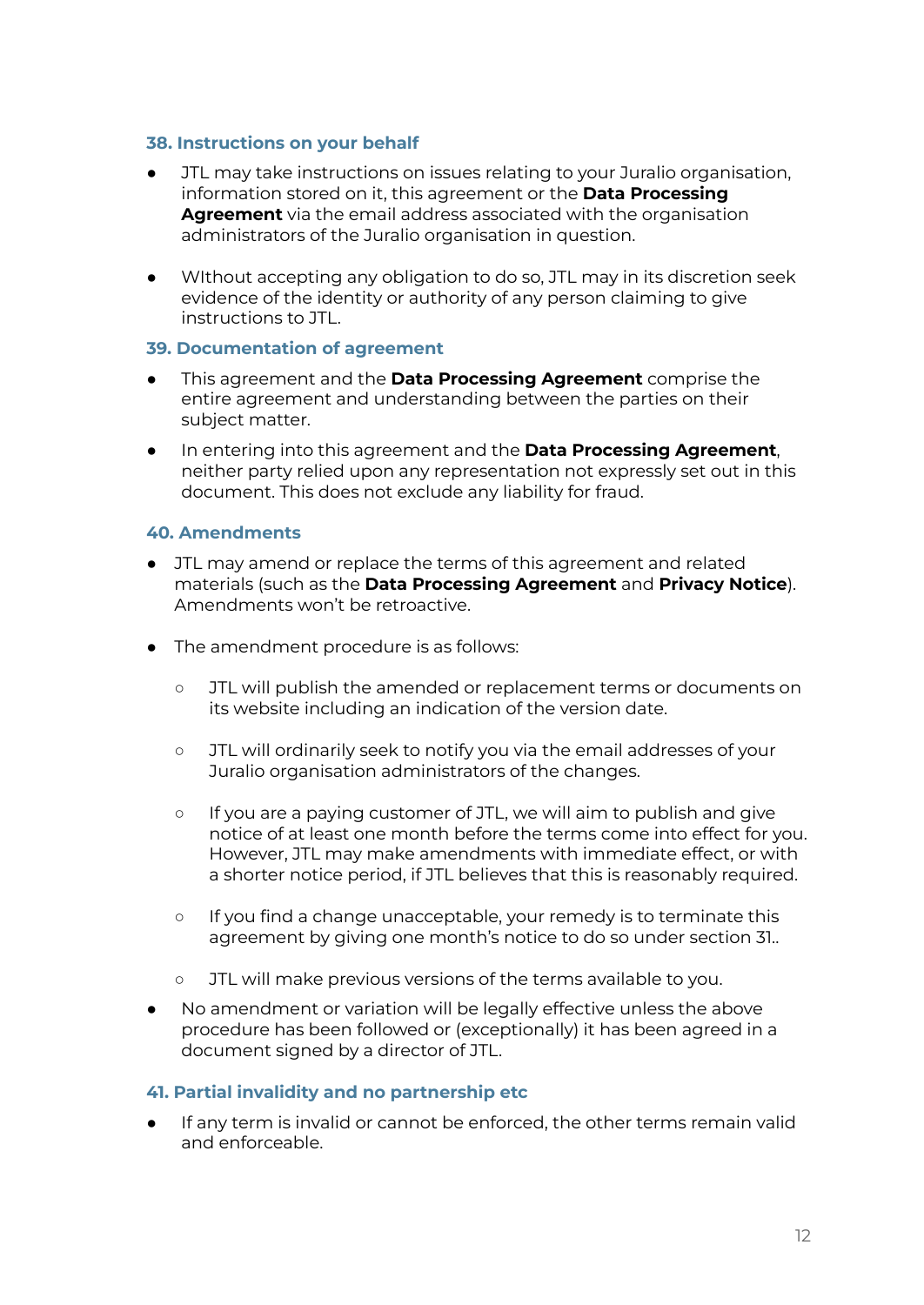#### <span id="page-11-0"></span>**38. Instructions on your behalf**

- JTL may take instructions on issues relating to your Juralio organisation, information stored on it, this agreement or the **Data Processing Agreement** via the email address associated with the organisation administrators of the Juralio organisation in question.
- WIthout accepting any obligation to do so, JTL may in its discretion seek evidence of the identity or authority of any person claiming to give instructions to JTL.

### <span id="page-11-1"></span>**39. Documentation of agreement**

- This agreement and the **Data Processing Agreement** comprise the entire agreement and understanding between the parties on their subject matter.
- In entering into this agreement and the **Data Processing Agreement**, neither party relied upon any representation not expressly set out in this document. This does not exclude any liability for fraud.

### <span id="page-11-2"></span>**40. Amendments**

- JTL may amend or replace the terms of this agreement and related materials (such as the **Data Processing Agreement** and **Privacy Notice**). Amendments won't be retroactive.
- The amendment procedure is as follows:
	- JTL will publish the amended or replacement terms or documents on its website including an indication of the version date.
	- JTL will ordinarily seek to notify you via the email addresses of your Juralio organisation administrators of the changes.
	- If you are a paying customer of JTL, we will aim to publish and give notice of at least one month before the terms come into effect for you. However, JTL may make amendments with immediate effect, or with a shorter notice period, if JTL believes that this is reasonably required.
	- If you find a change unacceptable, your remedy is to terminate this agreement by giving one month's notice to do so under section 31..
	- JTL will make previous versions of the terms available to you.
- No amendment or variation will be legally effective unless the above procedure has been followed or (exceptionally) it has been agreed in a document signed by a director of JTL.

#### <span id="page-11-3"></span>**41. Partial invalidity and no partnership etc**

● If any term is invalid or cannot be enforced, the other terms remain valid and enforceable.